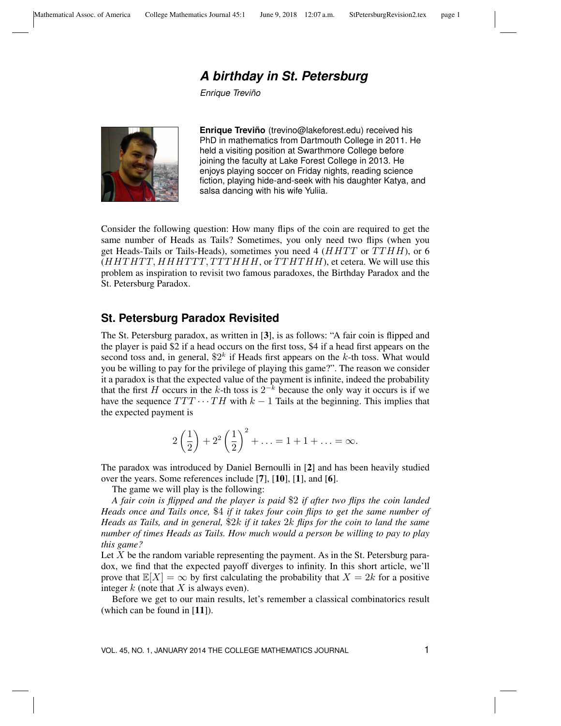## *A birthday in St. Petersburg*

*Enrique Trevino˜*



**Enrique Treviño** (trevino@lakeforest.edu) received his PhD in mathematics from Dartmouth College in 2011. He held a visiting position at Swarthmore College before joining the faculty at Lake Forest College in 2013. He enjoys playing soccer on Friday nights, reading science fiction, playing hide-and-seek with his daughter Katya, and salsa dancing with his wife Yuliia.

Consider the following question: How many flips of the coin are required to get the same number of Heads as Tails? Sometimes, you only need two flips (when you get Heads-Tails or Tails-Heads), sometimes you need 4 ( $HHTT$  or  $TTHH$ ), or 6  $(HHTHTT, HHHTTT, TTTHHH,$  or  $TTHTHH$ , et cetera. We will use this problem as inspiration to revisit two famous paradoxes, the Birthday Paradox and the St. Petersburg Paradox.

## **St. Petersburg Paradox Revisited**

The St. Petersburg paradox, as written in [3], is as follows: "A fair coin is flipped and the player is paid \$2 if a head occurs on the first toss, \$4 if a head first appears on the second toss and, in general,  $2^k$  if Heads first appears on the k-th toss. What would you be willing to pay for the privilege of playing this game?". The reason we consider it a paradox is that the expected value of the payment is infinite, indeed the probability that the first H occurs in the k-th toss is  $2^{-k}$  because the only way it occurs is if we have the sequence  $TTT \cdots TH$  with  $k-1$  Tails at the beginning. This implies that the expected payment is

$$
2\left(\frac{1}{2}\right) + 2^2\left(\frac{1}{2}\right)^2 + \ldots = 1 + 1 + \ldots = \infty.
$$

The paradox was introduced by Daniel Bernoulli in [2] and has been heavily studied over the years. Some references include [7], [10], [1], and [6].

The game we will play is the following:

*A fair coin is flipped and the player is paid* \$2 *if after two flips the coin landed Heads once and Tails once,* \$4 *if it takes four coin flips to get the same number of Heads as Tails, and in general,* \$2k *if it takes* 2k *flips for the coin to land the same number of times Heads as Tails. How much would a person be willing to pay to play this game?*

Let  $X$  be the random variable representing the payment. As in the St. Petersburg paradox, we find that the expected payoff diverges to infinity. In this short article, we'll prove that  $\mathbb{E}[X] = \infty$  by first calculating the probability that  $X = 2k$  for a positive integer  $k$  (note that  $X$  is always even).

Before we get to our main results, let's remember a classical combinatorics result (which can be found in [11]).

VOL. 45, NO. 1, JANUARY 2014 THE COLLEGE MATHEMATICS JOURNAL 1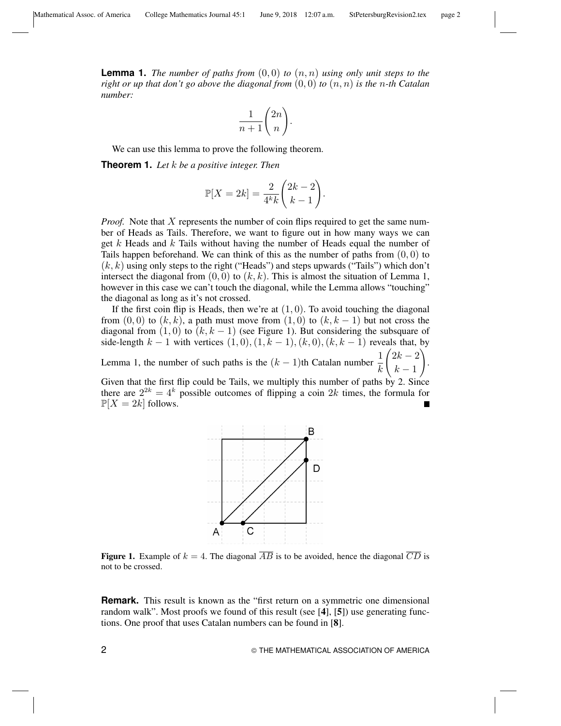*number:*

**Lemma 1.** *The number of paths from*  $(0,0)$  *to*  $(n,n)$  *using only unit steps to the right or up that don't go above the diagonal from*  $(0,0)$  *to*  $(n,n)$  *is the n-th Catalan* 

$$
\frac{1}{n+1}\binom{2n}{n}.
$$

We can use this lemma to prove the following theorem.

**Theorem 1.** *Let* k *be a positive integer. Then*

$$
\mathbb{P}[X=2k] = \frac{2}{4^k k} \binom{2k-2}{k-1}.
$$

*Proof.* Note that X represents the number of coin flips required to get the same number of Heads as Tails. Therefore, we want to figure out in how many ways we can get k Heads and k Tails without having the number of Heads equal the number of Tails happen beforehand. We can think of this as the number of paths from  $(0, 0)$  to  $(k, k)$  using only steps to the right ("Heads") and steps upwards ("Tails") which don't intersect the diagonal from  $(0, 0)$  to  $(k, k)$ . This is almost the situation of Lemma 1, however in this case we can't touch the diagonal, while the Lemma allows "touching" the diagonal as long as it's not crossed.

If the first coin flip is Heads, then we're at  $(1, 0)$ . To avoid touching the diagonal from  $(0,0)$  to  $(k, k)$ , a path must move from  $(1,0)$  to  $(k, k-1)$  but not cross the diagonal from  $(1,0)$  to  $(k, k - 1)$  (see Figure 1). But considering the subsquare of side-length  $k-1$  with vertices  $(1,0),(1,k-1),(k,0),(k,k-1)$  reveals that, by Lemma 1, the number of such paths is the  $(k-1)$ th Catalan number  $\frac{1}{k-1}$ k  $\sqrt{2k-2}$  $k-1$  $\setminus$ . Given that the first flip could be Tails, we multiply this number of paths by 2. Since there are  $2^{2k} = 4^k$  possible outcomes of flipping a coin 2k times, the formula for  $\mathbb{P}[X = 2k]$  follows.



**Figure 1.** Example of  $k = 4$ . The diagonal  $\overline{AB}$  is to be avoided, hence the diagonal  $\overline{CD}$  is not to be crossed.

**Remark.** This result is known as the "first return on a symmetric one dimensional random walk". Most proofs we found of this result (see [4], [5]) use generating functions. One proof that uses Catalan numbers can be found in [8].

2 **2 THE MATHEMATICAL ASSOCIATION OF AMERICA**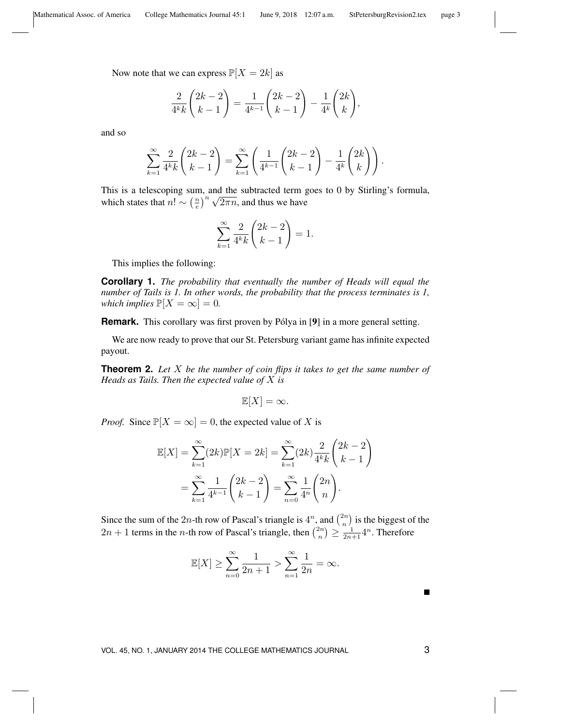Now note that we can express  $\mathbb{P}[X = 2k]$  as

$$
\frac{2}{4^k k} {2k - 2 \choose k - 1} = \frac{1}{4^{k-1}} {2k - 2 \choose k - 1} - \frac{1}{4^k} {2k \choose k},
$$

and so

$$
\sum_{k=1}^{\infty} \frac{2}{4^k k} {2k-2 \choose k-1} = \sum_{k=1}^{\infty} \left( \frac{1}{4^{k-1}} {2k-2 \choose k-1} - \frac{1}{4^k} {2k \choose k} \right).
$$

This is a telescoping sum, and the subtracted term goes to 0 by Stirling's formula, which states that  $n! \sim \left(\frac{n}{e}\right)$ m, and the subtracted term g<br> $\left(\frac{n}{e}\right)^n \sqrt{2\pi n}$ , and thus we have

$$
\sum_{k=1}^{\infty} \frac{2}{4^k k} \binom{2k-2}{k-1} = 1.
$$

This implies the following:

**Corollary 1.** *The probability that eventually the number of Heads will equal the number of Tails is 1. In other words, the probability that the process terminates is 1, which implies*  $\mathbb{P}[X = \infty] = 0$ .

**Remark.** This corollary was first proven by Pólya in [9] in a more general setting.

We are now ready to prove that our St. Petersburg variant game has infinite expected payout.

**Theorem 2.** *Let* X *be the number of coin flips it takes to get the same number of Heads as Tails. Then the expected value of* X *is*

$$
\mathbb{E}[X] = \infty.
$$

*Proof.* Since  $\mathbb{P}[X = \infty] = 0$ , the expected value of X is

$$
\mathbb{E}[X] = \sum_{k=1}^{\infty} (2k) \mathbb{P}[X = 2k] = \sum_{k=1}^{\infty} (2k) \frac{2}{4^k k} {2k - 2 \choose k - 1}
$$

$$
= \sum_{k=1}^{\infty} \frac{1}{4^{k-1}} {2k - 2 \choose k - 1} = \sum_{n=0}^{\infty} \frac{1}{4^n} {2n \choose n}.
$$

Since the sum of the 2*n*-th row of Pascal's triangle is  $4^n$ , and  $\binom{2n}{n}$  $\binom{2n}{n}$  is the biggest of the  $2n + 1$  terms in the *n*-th row of Pascal's triangle, then  $\binom{2n}{n}$  $\binom{2n}{n} \ge \frac{1}{2n+1} 4^n$ . Therefore

$$
\mathbb{E}[X] \ge \sum_{n=0}^{\infty} \frac{1}{2n+1} > \sum_{n=1}^{\infty} \frac{1}{2n} = \infty.
$$

VOL. 45, NO. 1, JANUARY 2014 THE COLLEGE MATHEMATICS JOURNAL 3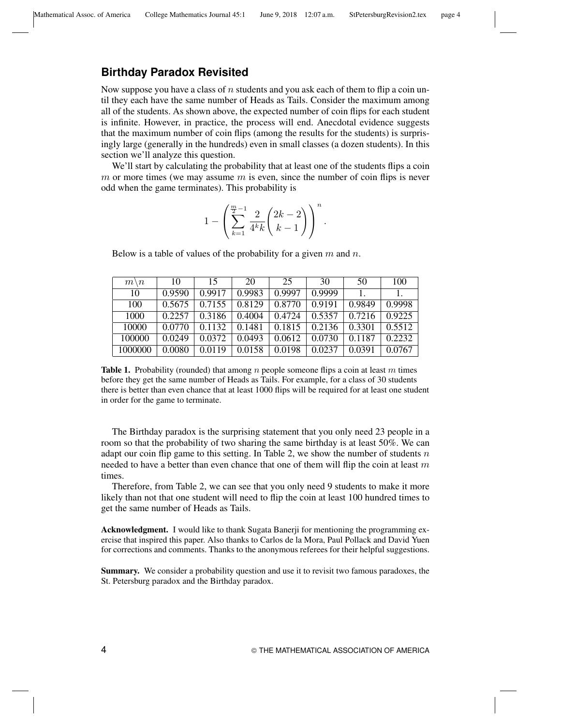## **Birthday Paradox Revisited**

Now suppose you have a class of  $n$  students and you ask each of them to flip a coin until they each have the same number of Heads as Tails. Consider the maximum among all of the students. As shown above, the expected number of coin flips for each student is infinite. However, in practice, the process will end. Anecdotal evidence suggests that the maximum number of coin flips (among the results for the students) is surprisingly large (generally in the hundreds) even in small classes (a dozen students). In this section we'll analyze this question.

We'll start by calculating the probability that at least one of the students flips a coin m or more times (we may assume  $m$  is even, since the number of coin flips is never odd when the game terminates). This probability is

$$
1 - \left(\sum_{k=1}^{\frac{m}{2}-1} \frac{2}{4^k k} \binom{2k-2}{k-1} \right)^n.
$$

Below is a table of values of the probability for a given  $m$  and  $n$ .

| $m \setminus n$ | 10     | 15     | 20     | 25     | 30     | 50     | 100    |
|-----------------|--------|--------|--------|--------|--------|--------|--------|
| 10              | 0.9590 | 0.9917 | 0.9983 | 0.9997 | 0.9999 |        | 1.     |
| 100             | 0.5675 | 0.7155 | 0.8129 | 0.8770 | 0.9191 | 0.9849 | 0.9998 |
| 1000            | 0.2257 | 0.3186 | 0.4004 | 0.4724 | 0.5357 | 0.7216 | 0.9225 |
| 10000           | 0.0770 | 0.1132 | 0.1481 | 0.1815 | 0.2136 | 0.3301 | 0.5512 |
| 100000          | 0.0249 | 0.0372 | 0.0493 | 0.0612 | 0.0730 | 0.1187 | 0.2232 |
| 1000000         | 0.0080 | 0.0119 | 0.0158 | 0.0198 | 0.0237 | 0.0391 | 0.0767 |

**Table 1.** Probability (rounded) that among n people someone flips a coin at least m times before they get the same number of Heads as Tails. For example, for a class of 30 students there is better than even chance that at least 1000 flips will be required for at least one student in order for the game to terminate.

The Birthday paradox is the surprising statement that you only need 23 people in a room so that the probability of two sharing the same birthday is at least 50%. We can adapt our coin flip game to this setting. In Table 2, we show the number of students  $n$ needed to have a better than even chance that one of them will flip the coin at least  $m$ times.

Therefore, from Table 2, we can see that you only need 9 students to make it more likely than not that one student will need to flip the coin at least 100 hundred times to get the same number of Heads as Tails.

Acknowledgment. I would like to thank Sugata Banerji for mentioning the programming exercise that inspired this paper. Also thanks to Carlos de la Mora, Paul Pollack and David Yuen for corrections and comments. Thanks to the anonymous referees for their helpful suggestions.

Summary. We consider a probability question and use it to revisit two famous paradoxes, the St. Petersburg paradox and the Birthday paradox.